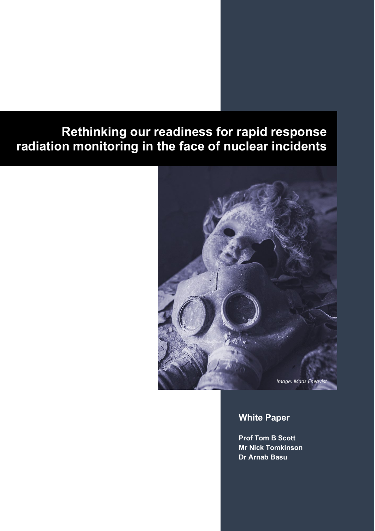# **Rethinking our readiness for rapid response radiation monitoring in the face of nuclear incidents**



# **White Paper**

**Prof Tom B Scott Mr Nick Tomkinson Dr Arnab Basu**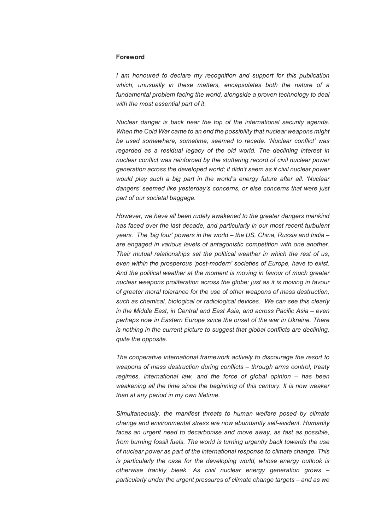#### **Foreword**

*I* am honoured to declare my recognition and support for this publication *which, unusually in these matters, encapsulates both the nature of a fundamental problem facing the world, alongside a proven technology to deal with the most essential part of it.*

*Nuclear danger is back near the top of the international security agenda. When the Cold War came to an end the possibility that nuclear weapons might be used somewhere, sometime, seemed to recede. 'Nuclear conflict' was regarded as a residual legacy of the old world. The declining interest in nuclear conflict was reinforced by the stuttering record of civil nuclear power generation across the developed world; it didn't seem as if civil nuclear power would play such a big part in the world's energy future after all. 'Nuclear dangers' seemed like yesterday's concerns, or else concerns that were just part of our societal baggage.*

*However, we have all been rudely awakened to the greater dangers mankind has faced over the last decade, and particularly in our most recent turbulent years. The 'big four' powers in the world – the US, China, Russia and India – are engaged in various levels of antagonistic competition with one another. Their mutual relationships set the political weather in which the rest of us, even within the prosperous 'post-modern' societies of Europe, have to exist. And the political weather at the moment is moving in favour of much greater nuclear weapons proliferation across the globe; just as it is moving in favour of greater moral tolerance for the use of other weapons of mass destruction, such as chemical, biological or radiological devices. We can see this clearly in the Middle East, in Central and East Asia, and across Pacific Asia – even perhaps now in Eastern Europe since the onset of the war in Ukraine. There is nothing in the current picture to suggest that global conflicts are declining, quite the opposite.*

*The cooperative international framework actively to discourage the resort to weapons of mass destruction during conflicts – through arms control, treaty regimes, international law, and the force of global opinion – has been weakening all the time since the beginning of this century. It is now weaker than at any period in my own lifetime.*

*Simultaneously, the manifest threats to human welfare posed by climate change and environmental stress are now abundantly self-evident. Humanity faces an urgent need to decarbonise and move away, as fast as possible, from burning fossil fuels. The world is turning urgently back towards the use of nuclear power as part of the international response to climate change. This is particularly the case for the developing world, whose energy outlook is otherwise frankly bleak. As civil nuclear energy generation grows – particularly under the urgent pressures of climate change targets – and as we*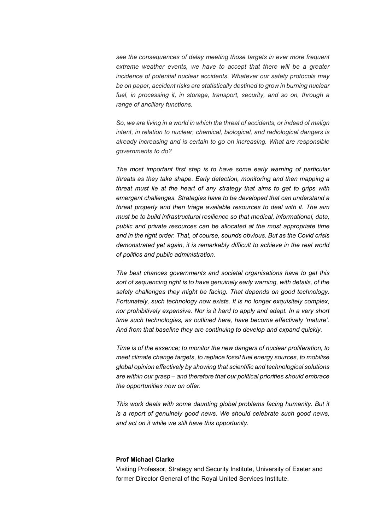*see the consequences of delay meeting those targets in ever more frequent*  extreme weather events, we have to accept that there will be a greater *incidence of potential nuclear accidents. Whatever our safety protocols may be on paper, accident risks are statistically destined to grow in burning nuclear*  fuel, in processing it, in storage, transport, security, and so on, through a *range of ancillary functions.* 

*So, we are living in a world in which the threat of accidents, or indeed of malign intent, in relation to nuclear, chemical, biological, and radiological dangers is already increasing and is certain to go on increasing. What are responsible governments to do?* 

*The most important first step is to have some early warning of particular threats as they take shape. Early detection, monitoring and then mapping a threat must lie at the heart of any strategy that aims to get to grips with emergent challenges. Strategies have to be developed that can understand a threat properly and then triage available resources to deal with it. The aim must be to build infrastructural resilience so that medical, informational, data, public and private resources can be allocated at the most appropriate time and in the right order. That, of course, sounds obvious. But as the Covid crisis demonstrated yet again, it is remarkably difficult to achieve in the real world of politics and public administration.* 

*The best chances governments and societal organisations have to get this sort of sequencing right is to have genuinely early warning, with details, of the safety challenges they might be facing. That depends on good technology. Fortunately, such technology now exists. It is no longer exquisitely complex, nor prohibitively expensive. Nor is it hard to apply and adapt. In a very short time such technologies, as outlined here, have become effectively 'mature'. And from that baseline they are continuing to develop and expand quickly.* 

*Time is of the essence; to monitor the new dangers of nuclear proliferation, to meet climate change targets, to replace fossil fuel energy sources, to mobilise global opinion effectively by showing that scientific and technological solutions are within our grasp – and therefore that our political priorities should embrace the opportunities now on offer.*

*This work deals with some daunting global problems facing humanity. But it is a report of genuinely good news. We should celebrate such good news, and act on it while we still have this opportunity.* 

#### **Prof Michael Clarke**

Visiting Professor, Strategy and Security Institute, University of Exeter and former Director General of the Royal United Services Institute.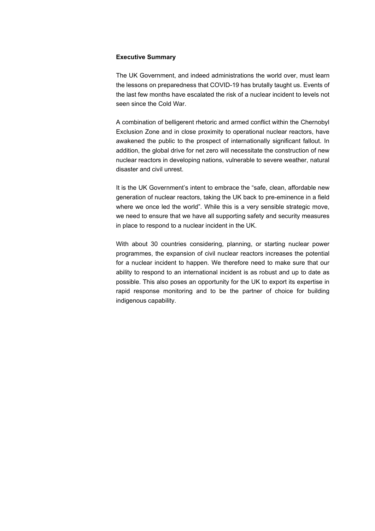#### **Executive Summary**

The UK Government, and indeed administrations the world over, must learn the lessons on preparedness that COVID-19 has brutally taught us. Events of the last few months have escalated the risk of a nuclear incident to levels not seen since the Cold War.

A combination of belligerent rhetoric and armed conflict within the Chernobyl Exclusion Zone and in close proximity to operational nuclear reactors, have awakened the public to the prospect of internationally significant fallout. In addition, the global drive for net zero will necessitate the construction of new nuclear reactors in developing nations, vulnerable to severe weather, natural disaster and civil unrest.

It is the UK Government's intent to embrace the "safe, clean, affordable new generation of nuclear reactors, taking the UK back to pre-eminence in a field where we once led the world". While this is a very sensible strategic move, we need to ensure that we have all supporting safety and security measures in place to respond to a nuclear incident in the UK.

With about 30 countries considering, planning, or starting nuclear power programmes, the expansion of civil nuclear reactors increases the potential for a nuclear incident to happen. We therefore need to make sure that our ability to respond to an international incident is as robust and up to date as possible. This also poses an opportunity for the UK to export its expertise in rapid response monitoring and to be the partner of choice for building indigenous capability.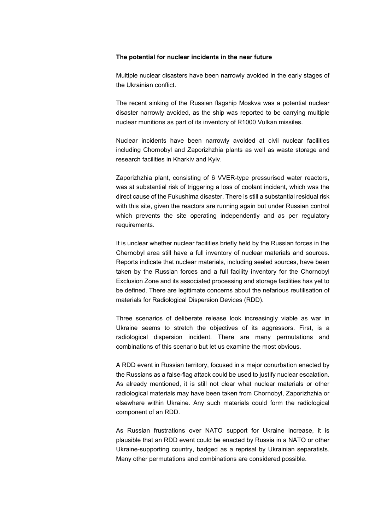#### **The potential for nuclear incidents in the near future**

Multiple nuclear disasters have been narrowly avoided in the early stages of the Ukrainian conflict.

The recent sinking of the Russian flagship Moskva was a potential nuclear disaster narrowly avoided, as the ship was reported to be carrying multiple nuclear munitions as part of its inventory of R1000 Vulkan missiles.

Nuclear incidents have been narrowly avoided at civil nuclear facilities including Chornobyl and Zaporizhzhia plants as well as waste storage and research facilities in Kharkiv and Kyiv.

Zaporizhzhia plant, consisting of 6 VVER-type pressurised water reactors, was at substantial risk of triggering a loss of coolant incident, which was the direct cause of the Fukushima disaster. There is still a substantial residual risk with this site, given the reactors are running again but under Russian control which prevents the site operating independently and as per regulatory requirements.

It is unclear whether nuclear facilities briefly held by the Russian forces in the Chernobyl area still have a full inventory of nuclear materials and sources. Reports indicate that nuclear materials, including sealed sources, have been taken by the Russian forces and a full facility inventory for the Chornobyl Exclusion Zone and its associated processing and storage facilities has yet to be defined. There are legitimate concerns about the nefarious reutilisation of materials for Radiological Dispersion Devices (RDD).

Three scenarios of deliberate release look increasingly viable as war in Ukraine seems to stretch the objectives of its aggressors. First, is a radiological dispersion incident. There are many permutations and combinations of this scenario but let us examine the most obvious.

A RDD event in Russian territory, focused in a major conurbation enacted by the Russians as a false-flag attack could be used to justify nuclear escalation. As already mentioned, it is still not clear what nuclear materials or other radiological materials may have been taken from Chornobyl, Zaporizhzhia or elsewhere within Ukraine. Any such materials could form the radiological component of an RDD.

As Russian frustrations over NATO support for Ukraine increase, it is plausible that an RDD event could be enacted by Russia in a NATO or other Ukraine-supporting country, badged as a reprisal by Ukrainian separatists. Many other permutations and combinations are considered possible.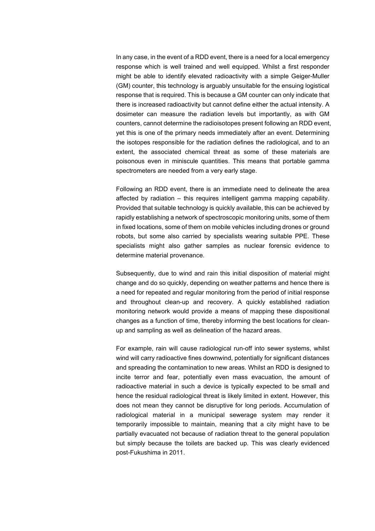In any case, in the event of a RDD event, there is a need for a local emergency response which is well trained and well equipped. Whilst a first responder might be able to identify elevated radioactivity with a simple Geiger-Muller (GM) counter, this technology is arguably unsuitable for the ensuing logistical response that is required. This is because a GM counter can only indicate that there is increased radioactivity but cannot define either the actual intensity. A dosimeter can measure the radiation levels but importantly, as with GM counters, cannot determine the radioisotopes present following an RDD event, yet this is one of the primary needs immediately after an event. Determining the isotopes responsible for the radiation defines the radiological, and to an extent, the associated chemical threat as some of these materials are poisonous even in miniscule quantities. This means that portable gamma spectrometers are needed from a very early stage.

Following an RDD event, there is an immediate need to delineate the area affected by radiation – this requires intelligent gamma mapping capability. Provided that suitable technology is quickly available, this can be achieved by rapidly establishing a network of spectroscopic monitoring units, some of them in fixed locations, some of them on mobile vehicles including drones or ground robots, but some also carried by specialists wearing suitable PPE. These specialists might also gather samples as nuclear forensic evidence to determine material provenance.

Subsequently, due to wind and rain this initial disposition of material might change and do so quickly, depending on weather patterns and hence there is a need for repeated and regular monitoring from the period of initial response and throughout clean-up and recovery. A quickly established radiation monitoring network would provide a means of mapping these dispositional changes as a function of time, thereby informing the best locations for cleanup and sampling as well as delineation of the hazard areas.

For example, rain will cause radiological run-off into sewer systems, whilst wind will carry radioactive fines downwind, potentially for significant distances and spreading the contamination to new areas. Whilst an RDD is designed to incite terror and fear, potentially even mass evacuation, the amount of radioactive material in such a device is typically expected to be small and hence the residual radiological threat is likely limited in extent. However, this does not mean they cannot be disruptive for long periods. Accumulation of radiological material in a municipal sewerage system may render it temporarily impossible to maintain, meaning that a city might have to be partially evacuated not because of radiation threat to the general population but simply because the toilets are backed up. This was clearly evidenced post-Fukushima in 2011.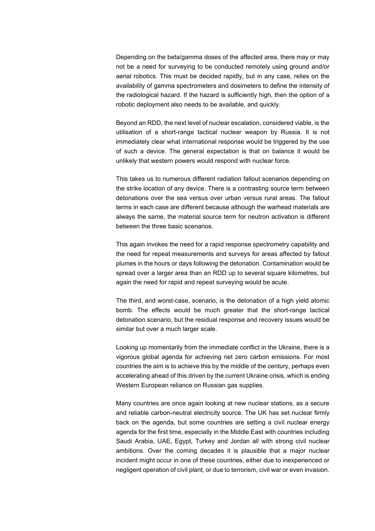Depending on the beta/gamma doses of the affected area, there may or may not be a need for surveying to be conducted remotely using ground and/or aerial robotics. This must be decided rapidly, but in any case, relies on the availability of gamma spectrometers and dosimeters to define the intensity of the radiological hazard. If the hazard is sufficiently high, then the option of a robotic deployment also needs to be available, and quickly.

Beyond an RDD, the next level of nuclear escalation, considered viable, is the utilisation of a short-range tactical nuclear weapon by Russia. It is not immediately clear what international response would be triggered by the use of such a device. The general expectation is that on balance it would be unlikely that western powers would respond with nuclear force.

This takes us to numerous different radiation fallout scenarios depending on the strike location of any device. There is a contrasting source term between detonations over the sea versus over urban versus rural areas. The fallout terms in each case are different because although the warhead materials are always the same, the material source term for neutron activation is different between the three basic scenarios.

This again invokes the need for a rapid response spectrometry capability and the need for repeat measurements and surveys for areas affected by fallout plumes in the hours or days following the detonation. Contamination would be spread over a larger area than an RDD up to several square kilometres, but again the need for rapid and repeat surveying would be acute.

The third, and worst-case, scenario, is the detonation of a high yield atomic bomb. The effects would be much greater that the short-range tactical detonation scenario, but the residual response and recovery issues would be similar but over a much larger scale.

Looking up momentarily from the immediate conflict in the Ukraine, there is a vigorous global agenda for achieving net zero carbon emissions. For most countries the aim is to achieve this by the middle of the century, perhaps even accelerating ahead of this driven by the current Ukraine crisis, which is ending Western European reliance on Russian gas supplies.

Many countries are once again looking at new nuclear stations, as a secure and reliable carbon-neutral electricity source. The UK has set nuclear firmly back on the agenda, but some countries are setting a civil nuclear energy agenda for the first time, especially in the Middle East with countries including Saudi Arabia, UAE, Egypt, Turkey and Jordan all with strong civil nuclear ambitions. Over the coming decades it is plausible that a major nuclear incident might occur in one of these countries, either due to inexperienced or negligent operation of civil plant, or due to terrorism, civil war or even invasion.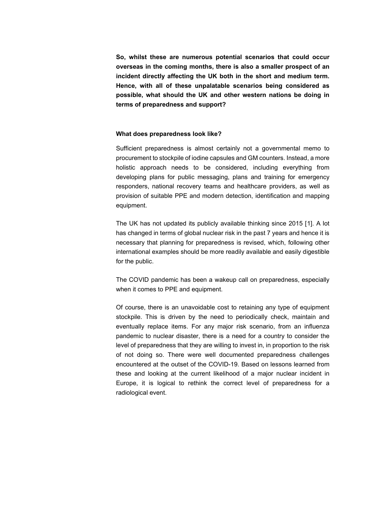**So, whilst these are numerous potential scenarios that could occur overseas in the coming months, there is also a smaller prospect of an incident directly affecting the UK both in the short and medium term. Hence, with all of these unpalatable scenarios being considered as possible, what should the UK and other western nations be doing in terms of preparedness and support?** 

#### **What does preparedness look like?**

Sufficient preparedness is almost certainly not a governmental memo to procurement to stockpile of iodine capsules and GM counters. Instead, a more holistic approach needs to be considered, including everything from developing plans for public messaging, plans and training for emergency responders, national recovery teams and healthcare providers, as well as provision of suitable PPE and modern detection, identification and mapping equipment.

The UK has not updated its publicly available thinking since 2015 [[1](#page-9-0)]. A lot has changed in terms of global nuclear risk in the past 7 years and hence it is necessary that planning for preparedness is revised, which, following other international examples should be more readily available and easily digestible for the public.

The COVID pandemic has been a wakeup call on preparedness, especially when it comes to PPE and equipment.

Of course, there is an unavoidable cost to retaining any type of equipment stockpile. This is driven by the need to periodically check, maintain and eventually replace items. For any major risk scenario, from an influenza pandemic to nuclear disaster, there is a need for a country to consider the level of preparedness that they are willing to invest in, in proportion to the risk of not doing so. There were well documented preparedness challenges encountered at the outset of the COVID-19. Based on lessons learned from these and looking at the current likelihood of a major nuclear incident in Europe, it is logical to rethink the correct level of preparedness for a radiological event.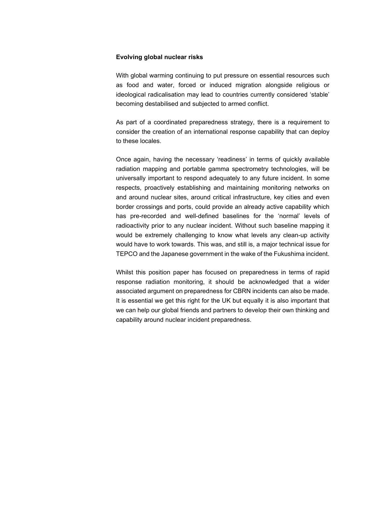#### **Evolving global nuclear risks**

With global warming continuing to put pressure on essential resources such as food and water, forced or induced migration alongside religious or ideological radicalisation may lead to countries currently considered 'stable' becoming destabilised and subjected to armed conflict.

As part of a coordinated preparedness strategy, there is a requirement to consider the creation of an international response capability that can deploy to these locales.

Once again, having the necessary 'readiness' in terms of quickly available radiation mapping and portable gamma spectrometry technologies, will be universally important to respond adequately to any future incident. In some respects, proactively establishing and maintaining monitoring networks on and around nuclear sites, around critical infrastructure, key cities and even border crossings and ports, could provide an already active capability which has pre-recorded and well-defined baselines for the 'normal' levels of radioactivity prior to any nuclear incident. Without such baseline mapping it would be extremely challenging to know what levels any clean-up activity would have to work towards. This was, and still is, a major technical issue for TEPCO and the Japanese government in the wake of the Fukushima incident.

Whilst this position paper has focused on preparedness in terms of rapid response radiation monitoring, it should be acknowledged that a wider associated argument on preparedness for CBRN incidents can also be made. It is essential we get this right for the UK but equally it is also important that we can help our global friends and partners to develop their own thinking and capability around nuclear incident preparedness.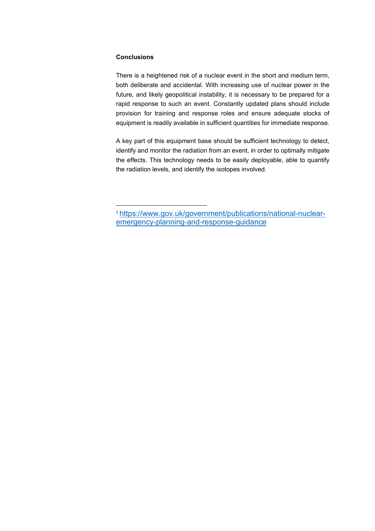## **Conclusions**

There is a heightened risk of a nuclear event in the short and medium term, both deliberate and accidental. With increasing use of nuclear power in the future, and likely geopolitical instability, it is necessary to be prepared for a rapid response to such an event. Constantly updated plans should include provision for training and response roles and ensure adequate stocks of equipment is readily available in sufficient quantities for immediate response.

A key part of this equipment base should be sufficient technology to detect, identify and monitor the radiation from an event, in order to optimally mitigate the effects. This technology needs to be easily deployable, able to quantify the radiation levels, and identify the isotopes involved.

<span id="page-9-0"></span><sup>1</sup> [https://www.gov.uk/government/publications/national-nuclear](https://www.gov.uk/government/publications/national-nuclear-emergency-planning-and-response-guidance)[emergency-planning-and-response-guidance](https://www.gov.uk/government/publications/national-nuclear-emergency-planning-and-response-guidance)